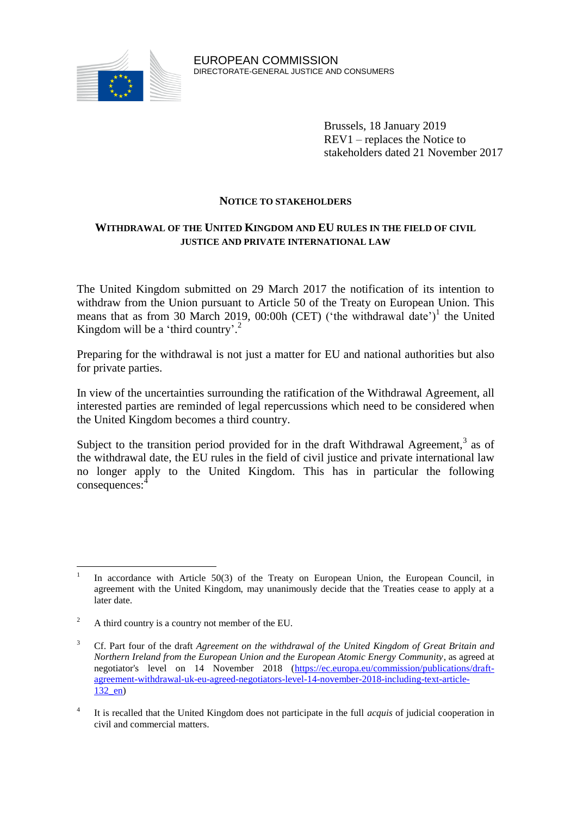

Brussels, 18 January 2019 REV1 – replaces the Notice to stakeholders dated 21 November 2017

## **NOTICE TO STAKEHOLDERS**

# **WITHDRAWAL OF THE UNITED KINGDOM AND EU RULES IN THE FIELD OF CIVIL JUSTICE AND PRIVATE INTERNATIONAL LAW**

The United Kingdom submitted on 29 March 2017 the notification of its intention to withdraw from the Union pursuant to Article 50 of the Treaty on European Union. This means that as from 30 March 2019, 00:00h (CET) ('the withdrawal date')<sup>1</sup> the United Kingdom will be a 'third country'.<sup>2</sup>

Preparing for the withdrawal is not just a matter for EU and national authorities but also for private parties.

In view of the uncertainties surrounding the ratification of the Withdrawal Agreement, all interested parties are reminded of legal repercussions which need to be considered when the United Kingdom becomes a third country.

Subject to the transition period provided for in the draft Withdrawal Agreement,<sup>3</sup> as of the withdrawal date, the EU rules in the field of civil justice and private international law no longer apply to the United Kingdom. This has in particular the following consequences: 4

 $\frac{1}{1}$ In accordance with Article 50(3) of the Treaty on European Union, the European Council, in agreement with the United Kingdom, may unanimously decide that the Treaties cease to apply at a later date.

 $2^2$  A third country is a country not member of the EU.

<sup>3</sup> Cf. Part four of the draft *Agreement on the withdrawal of the United Kingdom of Great Britain and Northern Ireland from the European Union and the European Atomic Energy Community*, as agreed at negotiator's level on 14 November 2018 [\(https://ec.europa.eu/commission/publications/draft](https://ec.europa.eu/commission/publications/draft-agreement-withdrawal-uk-eu-agreed-negotiators-level-14-november-2018-including-text-article-132_en)[agreement-withdrawal-uk-eu-agreed-negotiators-level-14-november-2018-including-text-article-](https://ec.europa.eu/commission/publications/draft-agreement-withdrawal-uk-eu-agreed-negotiators-level-14-november-2018-including-text-article-132_en)[132\\_en\)](https://ec.europa.eu/commission/publications/draft-agreement-withdrawal-uk-eu-agreed-negotiators-level-14-november-2018-including-text-article-132_en)

<sup>4</sup> It is recalled that the United Kingdom does not participate in the full *acquis* of judicial cooperation in civil and commercial matters.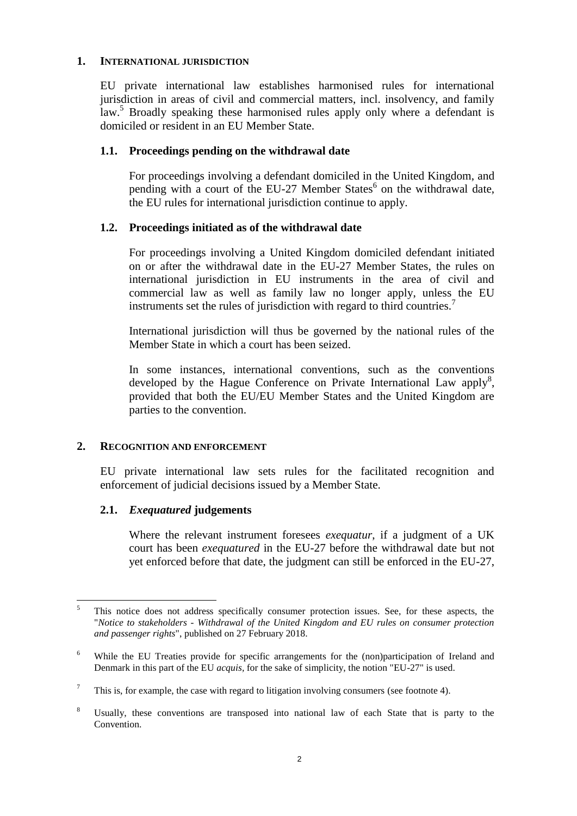#### **1. INTERNATIONAL JURISDICTION**

EU private international law establishes harmonised rules for international jurisdiction in areas of civil and commercial matters, incl. insolvency, and family law.<sup>5</sup> Broadly speaking these harmonised rules apply only where a defendant is domiciled or resident in an EU Member State.

### **1.1. Proceedings pending on the withdrawal date**

For proceedings involving a defendant domiciled in the United Kingdom, and pending with a court of the EU-27 Member States<sup>6</sup> on the withdrawal date, the EU rules for international jurisdiction continue to apply.

## **1.2. Proceedings initiated as of the withdrawal date**

For proceedings involving a United Kingdom domiciled defendant initiated on or after the withdrawal date in the EU-27 Member States, the rules on international jurisdiction in EU instruments in the area of civil and commercial law as well as family law no longer apply, unless the EU instruments set the rules of jurisdiction with regard to third countries.<sup>7</sup>

International jurisdiction will thus be governed by the national rules of the Member State in which a court has been seized.

In some instances, international conventions, such as the conventions developed by the Hague Conference on Private International Law apply<sup>8</sup>, provided that both the EU/EU Member States and the United Kingdom are parties to the convention.

### **2. RECOGNITION AND ENFORCEMENT**

EU private international law sets rules for the facilitated recognition and enforcement of judicial decisions issued by a Member State.

### **2.1.** *Exequatured* **judgements**

Where the relevant instrument foresees *exequatur*, if a judgment of a UK court has been *exequatured* in the EU-27 before the withdrawal date but not yet enforced before that date, the judgment can still be enforced in the EU-27,

 $\overline{5}$ <sup>5</sup> This notice does not address specifically consumer protection issues. See, for these aspects, the "*Notice to stakeholders - Withdrawal of the United Kingdom and EU rules on consumer protection and passenger rights*", published on 27 February 2018.

<sup>&</sup>lt;sup>6</sup> While the EU Treaties provide for specific arrangements for the (non)participation of Ireland and Denmark in this part of the EU *acquis,* for the sake of simplicity, the notion "EU-27" is used.

 $\frac{7}{10}$  This is, for example, the case with regard to litigation involving consumers (see footnote 4).

<sup>8</sup> Usually, these conventions are transposed into national law of each State that is party to the Convention.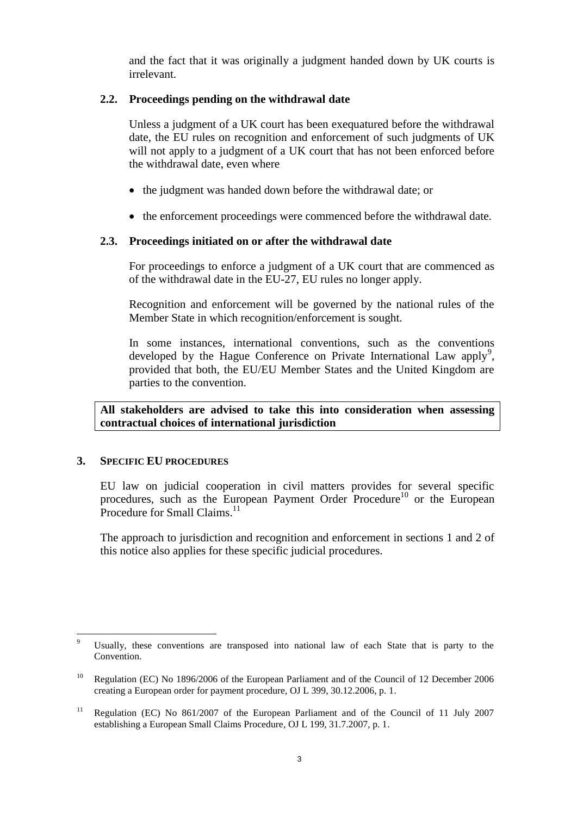and the fact that it was originally a judgment handed down by UK courts is irrelevant.

# **2.2. Proceedings pending on the withdrawal date**

Unless a judgment of a UK court has been exequatured before the withdrawal date, the EU rules on recognition and enforcement of such judgments of UK will not apply to a judgment of a UK court that has not been enforced before the withdrawal date, even where

- the judgment was handed down before the withdrawal date; or
- the enforcement proceedings were commenced before the withdrawal date.

## **2.3. Proceedings initiated on or after the withdrawal date**

For proceedings to enforce a judgment of a UK court that are commenced as of the withdrawal date in the EU-27, EU rules no longer apply.

Recognition and enforcement will be governed by the national rules of the Member State in which recognition/enforcement is sought.

In some instances, international conventions, such as the conventions developed by the Hague Conference on Private International Law apply<sup>9</sup>, provided that both, the EU/EU Member States and the United Kingdom are parties to the convention.

**All stakeholders are advised to take this into consideration when assessing contractual choices of international jurisdiction** 

### **3. SPECIFIC EU PROCEDURES**

EU law on judicial cooperation in civil matters provides for several specific procedures, such as the European Payment Order Procedure<sup>10</sup> or the European Procedure for Small Claims.<sup>11</sup>

The approach to jurisdiction and recognition and enforcement in sections 1 and 2 of this notice also applies for these specific judicial procedures.

 $\overline{a}$ Usually, these conventions are transposed into national law of each State that is party to the Convention.

<sup>&</sup>lt;sup>10</sup> Regulation (EC) No 1896/2006 of the European Parliament and of the Council of 12 December 2006 creating a European order for payment procedure, OJ L 399, 30.12.2006, p. 1.

<sup>&</sup>lt;sup>11</sup> Regulation (EC) No 861/2007 of the European Parliament and of the Council of 11 July 2007 establishing a European Small Claims Procedure, OJ L 199, 31.7.2007, p. 1.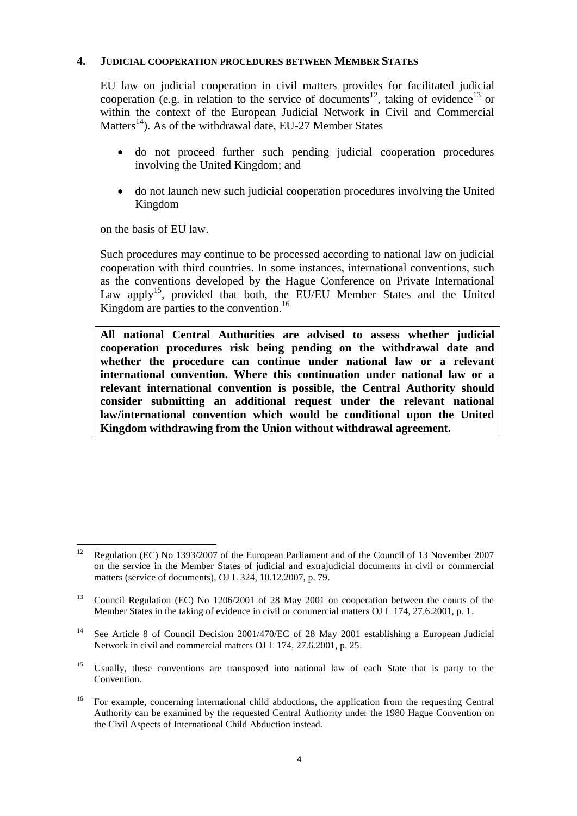### **4. JUDICIAL COOPERATION PROCEDURES BETWEEN MEMBER STATES**

EU law on judicial cooperation in civil matters provides for facilitated judicial cooperation (e.g. in relation to the service of documents<sup>12</sup>, taking of evidence<sup>13</sup> or within the context of the European Judicial Network in Civil and Commercial Matters<sup>14</sup>). As of the withdrawal date, EU-27 Member States

- do not proceed further such pending judicial cooperation procedures involving the United Kingdom; and
- do not launch new such judicial cooperation procedures involving the United Kingdom

on the basis of EU law.

Such procedures may continue to be processed according to national law on judicial cooperation with third countries. In some instances, international conventions, such as the conventions developed by the Hague Conference on Private International Law apply<sup>15</sup>, provided that both, the EU/EU Member States and the United Kingdom are parties to the convention.<sup>16</sup>

**All national Central Authorities are advised to assess whether judicial cooperation procedures risk being pending on the withdrawal date and whether the procedure can continue under national law or a relevant international convention. Where this continuation under national law or a relevant international convention is possible, the Central Authority should consider submitting an additional request under the relevant national law/international convention which would be conditional upon the United Kingdom withdrawing from the Union without withdrawal agreement.**

<sup>12</sup> <sup>12</sup> Regulation (EC) No 1393/2007 of the European Parliament and of the Council of 13 November 2007 on the service in the Member States of judicial and extrajudicial documents in civil or commercial matters (service of documents), OJ L 324, 10.12.2007, p. 79.

<sup>&</sup>lt;sup>13</sup> Council Regulation (EC) No 1206/2001 of 28 May 2001 on cooperation between the courts of the Member States in the taking of evidence in civil or commercial matters OJ L 174, 27.6.2001, p. 1.

<sup>&</sup>lt;sup>14</sup> See Article 8 of Council Decision 2001/470/EC of 28 May 2001 establishing a European Judicial Network in civil and commercial matters OJ L 174, 27.6.2001, p. 25.

<sup>&</sup>lt;sup>15</sup> Usually, these conventions are transposed into national law of each State that is party to the Convention.

<sup>&</sup>lt;sup>16</sup> For example, concerning international child abductions, the application from the requesting Central Authority can be examined by the requested Central Authority under the 1980 Hague Convention on the Civil Aspects of International Child Abduction instead.